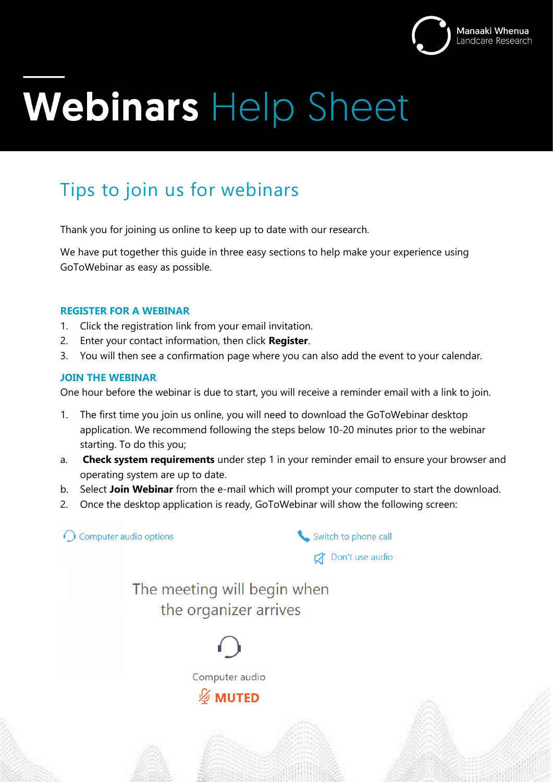

# Webinars Help Sheet

## Tips to join us for webinars

Thank you for joining us online to keep up to date with our research.

We have put together this guide in three easy sections to help make your experience using GoToWebinar as easy as possible.

#### **REGISTER FOR A WEBINAR**

- 1. Click the registration link from your email invitation.
- 2. Enter your contact information, then click **Register**.
- 3. You will then see a confirmation page where you can also add the event to your calendar.

#### **JOIN THE WEBINAR**

One hour before the webinar is due to start, you will receive a reminder email with a link to join.

- 1. The first time you join us online, you will need to download the GoToWebinar desktop application. We recommend following the steps below 10-20 minutes prior to the webinar starting. To do this you;
- a. **Check system requirements** under step 1 in your reminder email to ensure your browser and operating system are up to date.
- b. Select **Join Webinar** from the e-mail which will prompt your computer to start the download.
- 2. Once the desktop application is ready, GoToWebinar will show the following screen:

 $\bigcap$  Computer audio options Switch to phone call Don't use audio The meeting will begin when the organizer arrives

> Computer audio *⊠* MUTED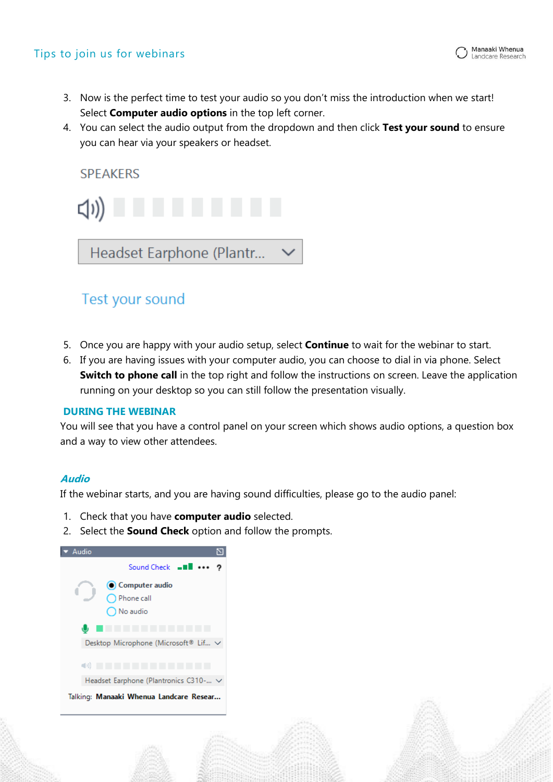- 3. Now is the perfect time to test your audio so you don't miss the introduction when we start!
- Select **Computer audio options** in the top left corner.
- 4. You can select the audio output from the dropdown and then click **Test your sound** to ensure you can hear via your speakers or headset.



### Test your sound

- 5. Once you are happy with your audio setup, select **Continue** to wait for the webinar to start.
- 6. If you are having issues with your computer audio, you can choose to dial in via phone. Select **Switch to phone call** in the top right and follow the instructions on screen. Leave the application running on your desktop so you can still follow the presentation visually.

#### **DURING THE WEBINAR**

You will see that you have a control panel on your screen which shows audio options, a question box and a way to view other attendees.

#### **Audio**

If the webinar starts, and you are having sound difficulties, please go to the audio panel:

- 1. Check that you have **computer audio** selected.
- 2. Select the **Sound Check** option and follow the prompts.